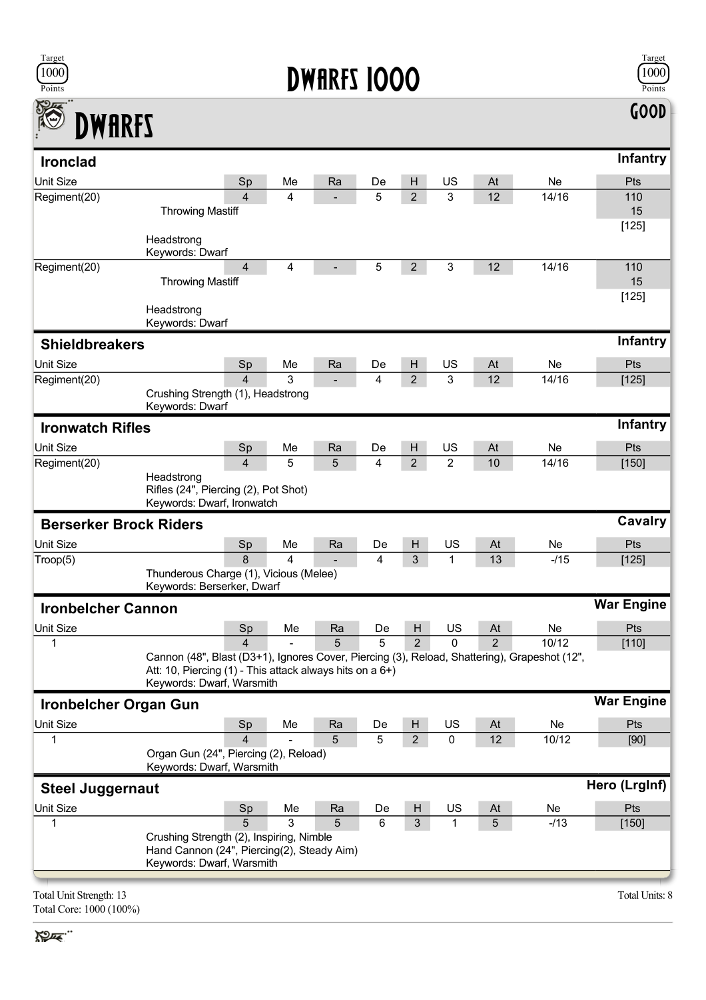

## **DWARFS 1000**



| <b>DWARFS</b>                 |                                                                                                                                                                                       |    |    |    |                |                |                |           | GOD               |
|-------------------------------|---------------------------------------------------------------------------------------------------------------------------------------------------------------------------------------|----|----|----|----------------|----------------|----------------|-----------|-------------------|
| <b>Ironclad</b>               |                                                                                                                                                                                       |    |    |    |                |                |                |           | <b>Infantry</b>   |
| <b>Unit Size</b>              | Sp                                                                                                                                                                                    | Me | Ra | De | н              | US             | At             | <b>Ne</b> | Pts               |
| Regiment(20)                  | $\overline{\mathcal{L}}$<br><b>Throwing Mastiff</b>                                                                                                                                   | 4  |    | 5  | $\overline{2}$ | 3              | 12             | 14/16     | 110<br>15         |
|                               | Headstrong<br>Keywords: Dwarf                                                                                                                                                         |    |    |    |                |                |                |           | [125]             |
| Regiment(20)                  | $\overline{4}$<br><b>Throwing Mastiff</b>                                                                                                                                             | 4  |    | 5  | $\overline{2}$ | 3              | 12             | 14/16     | 110<br>15         |
|                               | Headstrong<br>Keywords: Dwarf                                                                                                                                                         |    |    |    |                |                |                |           | [125]             |
| <b>Shieldbreakers</b>         |                                                                                                                                                                                       |    |    |    |                |                |                |           | <b>Infantry</b>   |
| <b>Unit Size</b>              | Sp                                                                                                                                                                                    | Me | Ra | De | H              | US             | At             | <b>Ne</b> | Pts               |
| Regiment(20)                  | $\overline{\mathcal{L}}$<br>Crushing Strength (1), Headstrong<br>Keywords: Dwarf                                                                                                      | 3  |    | 4  | 2              | 3              | 12             | 14/16     | [125]             |
| <b>Ironwatch Rifles</b>       |                                                                                                                                                                                       |    |    |    |                |                |                |           | <b>Infantry</b>   |
| <b>Unit Size</b>              | Sp                                                                                                                                                                                    | Me | Ra | De | H              | US             | At             | <b>Ne</b> | Pts               |
| Regiment(20)                  | 4                                                                                                                                                                                     | 5  | 5  | 4  | $\overline{2}$ | $\overline{2}$ | 10             | 14/16     | [150]             |
|                               | Headstrong<br>Rifles (24", Piercing (2), Pot Shot)<br>Keywords: Dwarf, Ironwatch                                                                                                      |    |    |    |                |                |                |           |                   |
| <b>Berserker Brock Riders</b> |                                                                                                                                                                                       |    |    |    |                |                |                |           | Cavalry           |
| Unit Size                     | Sp                                                                                                                                                                                    | Me | Ra | De | H              | US             | At             | Ne        | Pts               |
| Troop(5)                      | 8                                                                                                                                                                                     | 4  |    | 4  | 3              | 1              | 13             | $-115$    | [125]             |
|                               | Thunderous Charge (1), Vicious (Melee)<br>Keywords: Berserker, Dwarf                                                                                                                  |    |    |    |                |                |                |           |                   |
| <b>Ironbelcher Cannon</b>     |                                                                                                                                                                                       |    |    |    |                |                |                |           | <b>War Engine</b> |
| Unit Size                     | Sn                                                                                                                                                                                    | Me | Ra | De | H              | US             | At             | Ne.       | Pts               |
| 1                             | 4                                                                                                                                                                                     |    | 5  | 5  | $\overline{2}$ | 0              | $\overline{2}$ | 10/12     | $[110]$           |
|                               | Cannon (48", Blast (D3+1), Ignores Cover, Piercing (3), Reload, Shattering), Grapeshot (12",<br>Att: 10, Piercing (1) - This attack always hits on a 6+)<br>Keywords: Dwarf, Warsmith |    |    |    |                |                |                |           |                   |
| <b>Ironbelcher Organ Gun</b>  |                                                                                                                                                                                       |    |    |    |                |                |                |           | <b>War Engine</b> |
| <b>Unit Size</b>              | Sp                                                                                                                                                                                    | Me | Ra | De | H              | US             | At             | Ne        | Pts               |
| 1                             | 4<br>Organ Gun (24", Piercing (2), Reload)<br>Keywords: Dwarf, Warsmith                                                                                                               |    | 5  | 5  | $\overline{2}$ | $\pmb{0}$      | 12             | 10/12     | [90]              |
| <b>Steel Juggernaut</b>       |                                                                                                                                                                                       |    |    |    |                |                |                |           | Hero (LrgInf)     |
| <b>Unit Size</b>              | Sp                                                                                                                                                                                    | Me | Ra | De | H              | US             | At             | Ne        | <b>Pts</b>        |
| 1                             | 5                                                                                                                                                                                     | 3  | 5  | 6  | 3              | 1              | 5              | $-113$    | $[150]$           |
|                               | Crushing Strength (2), Inspiring, Nimble<br>Hand Cannon (24", Piercing(2), Steady Aim)<br>Keywords: Dwarf, Warsmith                                                                   |    |    |    |                |                |                |           |                   |
|                               |                                                                                                                                                                                       |    |    |    |                |                |                |           |                   |

Total Unit Strength: 13 Total Units: 8 Total Core: 1000 (100%)